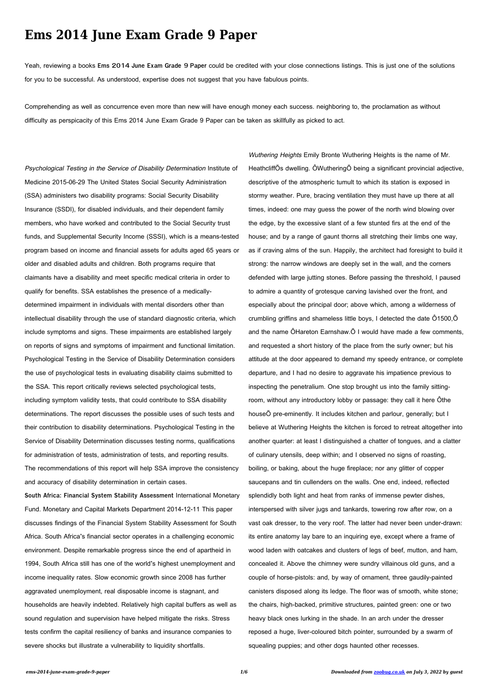## **Ems 2014 June Exam Grade 9 Paper**

Yeah, reviewing a books **Ems 2014 June Exam Grade 9 Paper** could be credited with your close connections listings. This is just one of the solutions for you to be successful. As understood, expertise does not suggest that you have fabulous points.

Comprehending as well as concurrence even more than new will have enough money each success. neighboring to, the proclamation as without difficulty as perspicacity of this Ems 2014 June Exam Grade 9 Paper can be taken as skillfully as picked to act.

Psychological Testing in the Service of Disability Determination Institute of Medicine 2015-06-29 The United States Social Security Administration (SSA) administers two disability programs: Social Security Disability Insurance (SSDI), for disabled individuals, and their dependent family members, who have worked and contributed to the Social Security trust funds, and Supplemental Security Income (SSSI), which is a means-tested program based on income and financial assets for adults aged 65 years or older and disabled adults and children. Both programs require that claimants have a disability and meet specific medical criteria in order to qualify for benefits. SSA establishes the presence of a medicallydetermined impairment in individuals with mental disorders other than intellectual disability through the use of standard diagnostic criteria, which include symptoms and signs. These impairments are established largely on reports of signs and symptoms of impairment and functional limitation. Psychological Testing in the Service of Disability Determination considers the use of psychological tests in evaluating disability claims submitted to the SSA. This report critically reviews selected psychological tests, including symptom validity tests, that could contribute to SSA disability determinations. The report discusses the possible uses of such tests and their contribution to disability determinations. Psychological Testing in the Service of Disability Determination discusses testing norms, qualifications for administration of tests, administration of tests, and reporting results. The recommendations of this report will help SSA improve the consistency and accuracy of disability determination in certain cases.

**South Africa: Financial System Stability Assessment** International Monetary Fund. Monetary and Capital Markets Department 2014-12-11 This paper discusses findings of the Financial System Stability Assessment for South Africa. South Africa's financial sector operates in a challenging economic environment. Despite remarkable progress since the end of apartheid in 1994, South Africa still has one of the world's highest unemployment and income inequality rates. Slow economic growth since 2008 has further aggravated unemployment, real disposable income is stagnant, and households are heavily indebted. Relatively high capital buffers as well as sound regulation and supervision have helped mitigate the risks. Stress tests confirm the capital resiliency of banks and insurance companies to severe shocks but illustrate a vulnerability to liquidity shortfalls.

Wuthering Heights Emily Bronte Wuthering Heights is the name of Mr. HeathcliffÕs dwelling. ÔWutheringÕ being a significant provincial adjective, descriptive of the atmospheric tumult to which its station is exposed in stormy weather. Pure, bracing ventilation they must have up there at all times, indeed: one may guess the power of the north wind blowing over the edge, by the excessive slant of a few stunted firs at the end of the house; and by a range of gaunt thorns all stretching their limbs one way, as if craving alms of the sun. Happily, the architect had foresight to build it strong: the narrow windows are deeply set in the wall, and the corners defended with large jutting stones. Before passing the threshold, I paused to admire a quantity of grotesque carving lavished over the front, and especially about the principal door; above which, among a wilderness of crumbling griffins and shameless little boys, I detected the date Ô1500,Õ and the name ÔHareton Earnshaw.Õ I would have made a few comments, and requested a short history of the place from the surly owner; but his attitude at the door appeared to demand my speedy entrance, or complete departure, and I had no desire to aggravate his impatience previous to inspecting the penetralium. One stop brought us into the family sittingroom, without any introductory lobby or passage: they call it here Ôthe houseÕ pre-eminently. It includes kitchen and parlour, generally; but I believe at Wuthering Heights the kitchen is forced to retreat altogether into another quarter: at least I distinguished a chatter of tongues, and a clatter of culinary utensils, deep within; and I observed no signs of roasting, boiling, or baking, about the huge fireplace; nor any glitter of copper saucepans and tin cullenders on the walls. One end, indeed, reflected splendidly both light and heat from ranks of immense pewter dishes, interspersed with silver jugs and tankards, towering row after row, on a vast oak dresser, to the very roof. The latter had never been under-drawn: its entire anatomy lay bare to an inquiring eye, except where a frame of wood laden with oatcakes and clusters of legs of beef, mutton, and ham, concealed it. Above the chimney were sundry villainous old guns, and a couple of horse-pistols: and, by way of ornament, three gaudily-painted canisters disposed along its ledge. The floor was of smooth, white stone; the chairs, high-backed, primitive structures, painted green: one or two heavy black ones lurking in the shade. In an arch under the dresser reposed a huge, liver-coloured bitch pointer, surrounded by a swarm of squealing puppies; and other dogs haunted other recesses.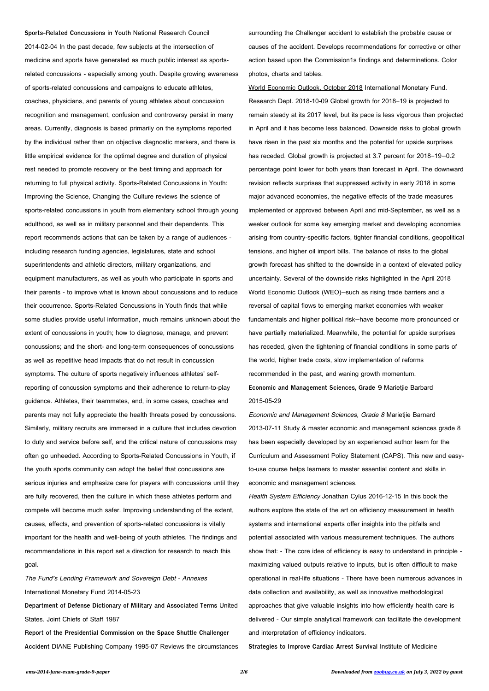**Sports-Related Concussions in Youth** National Research Council 2014-02-04 In the past decade, few subjects at the intersection of medicine and sports have generated as much public interest as sportsrelated concussions - especially among youth. Despite growing awareness of sports-related concussions and campaigns to educate athletes, coaches, physicians, and parents of young athletes about concussion recognition and management, confusion and controversy persist in many areas. Currently, diagnosis is based primarily on the symptoms reported by the individual rather than on objective diagnostic markers, and there is little empirical evidence for the optimal degree and duration of physical rest needed to promote recovery or the best timing and approach for returning to full physical activity. Sports-Related Concussions in Youth: Improving the Science, Changing the Culture reviews the science of sports-related concussions in youth from elementary school through young adulthood, as well as in military personnel and their dependents. This report recommends actions that can be taken by a range of audiences including research funding agencies, legislatures, state and school superintendents and athletic directors, military organizations, and equipment manufacturers, as well as youth who participate in sports and their parents - to improve what is known about concussions and to reduce their occurrence. Sports-Related Concussions in Youth finds that while some studies provide useful information, much remains unknown about the extent of concussions in youth; how to diagnose, manage, and prevent concussions; and the short- and long-term consequences of concussions as well as repetitive head impacts that do not result in concussion symptoms. The culture of sports negatively influences athletes' selfreporting of concussion symptoms and their adherence to return-to-play guidance. Athletes, their teammates, and, in some cases, coaches and parents may not fully appreciate the health threats posed by concussions. Similarly, military recruits are immersed in a culture that includes devotion to duty and service before self, and the critical nature of concussions may often go unheeded. According to Sports-Related Concussions in Youth, if the youth sports community can adopt the belief that concussions are serious injuries and emphasize care for players with concussions until they are fully recovered, then the culture in which these athletes perform and compete will become much safer. Improving understanding of the extent,

causes, effects, and prevention of sports-related concussions is vitally

important for the health and well-being of youth athletes. The findings and recommendations in this report set a direction for research to reach this goal.

The Fund's Lending Framework and Sovereign Debt - Annexes

International Monetary Fund 2014-05-23

**Department of Defense Dictionary of Military and Associated Terms** United

States. Joint Chiefs of Staff 1987

**Report of the Presidential Commission on the Space Shuttle Challenger**

**Accident** DIANE Publishing Company 1995-07 Reviews the circumstances

surrounding the Challenger accident to establish the probable cause or causes of the accident. Develops recommendations for corrective or other action based upon the Commission1s findings and determinations. Color photos, charts and tables.

World Economic Outlook, October 2018 International Monetary Fund. Research Dept. 2018-10-09 Global growth for 2018–19 is projected to remain steady at its 2017 level, but its pace is less vigorous than projected in April and it has become less balanced. Downside risks to global growth have risen in the past six months and the potential for upside surprises has receded. Global growth is projected at 3.7 percent for 2018–19—0.2 percentage point lower for both years than forecast in April. The downward revision reflects surprises that suppressed activity in early 2018 in some major advanced economies, the negative effects of the trade measures implemented or approved between April and mid-September, as well as a weaker outlook for some key emerging market and developing economies arising from country-specific factors, tighter financial conditions, geopolitical tensions, and higher oil import bills. The balance of risks to the global growth forecast has shifted to the downside in a context of elevated policy uncertainty. Several of the downside risks highlighted in the April 2018 World Economic Outlook (WEO)—such as rising trade barriers and a reversal of capital flows to emerging market economies with weaker fundamentals and higher political risk—have become more pronounced or have partially materialized. Meanwhile, the potential for upside surprises has receded, given the tightening of financial conditions in some parts of the world, higher trade costs, slow implementation of reforms recommended in the past, and waning growth momentum. **Economic and Management Sciences, Grade 9** Marietjie Barbard

2015-05-29

Economic and Management Sciences, Grade 8 Marietjie Barnard 2013-07-11 Study & master economic and management sciences grade 8 has been especially developed by an experienced author team for the Curriculum and Assessment Policy Statement (CAPS). This new and easyto-use course helps learners to master essential content and skills in economic and management sciences.

Health System Efficiency Jonathan Cylus 2016-12-15 In this book the authors explore the state of the art on efficiency measurement in health systems and international experts offer insights into the pitfalls and potential associated with various measurement techniques. The authors show that: - The core idea of efficiency is easy to understand in principle -

maximizing valued outputs relative to inputs, but is often difficult to make

operational in real-life situations - There have been numerous advances in

data collection and availability, as well as innovative methodological

approaches that give valuable insights into how efficiently health care is

delivered - Our simple analytical framework can facilitate the development

and interpretation of efficiency indicators.

**Strategies to Improve Cardiac Arrest Survival** Institute of Medicine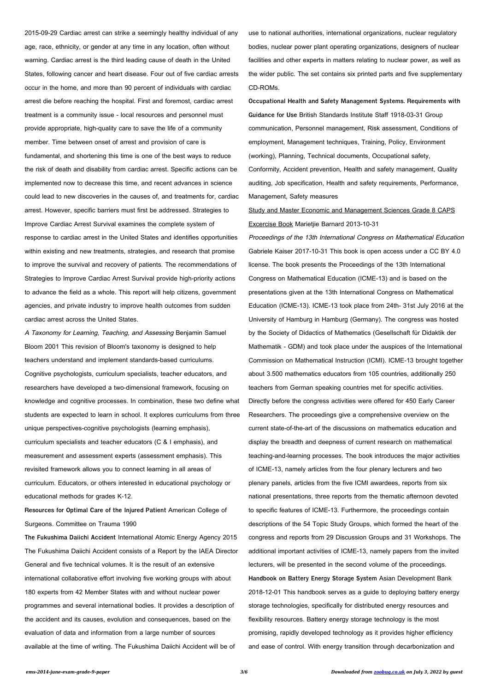2015-09-29 Cardiac arrest can strike a seemingly healthy individual of any age, race, ethnicity, or gender at any time in any location, often without warning. Cardiac arrest is the third leading cause of death in the United States, following cancer and heart disease. Four out of five cardiac arrests occur in the home, and more than 90 percent of individuals with cardiac arrest die before reaching the hospital. First and foremost, cardiac arrest treatment is a community issue - local resources and personnel must provide appropriate, high-quality care to save the life of a community member. Time between onset of arrest and provision of care is fundamental, and shortening this time is one of the best ways to reduce the risk of death and disability from cardiac arrest. Specific actions can be implemented now to decrease this time, and recent advances in science could lead to new discoveries in the causes of, and treatments for, cardiac arrest. However, specific barriers must first be addressed. Strategies to Improve Cardiac Arrest Survival examines the complete system of response to cardiac arrest in the United States and identifies opportunities within existing and new treatments, strategies, and research that promise to improve the survival and recovery of patients. The recommendations of Strategies to Improve Cardiac Arrest Survival provide high-priority actions to advance the field as a whole. This report will help citizens, government agencies, and private industry to improve health outcomes from sudden cardiac arrest across the United States.

A Taxonomy for Learning, Teaching, and Assessing Benjamin Samuel Bloom 2001 This revision of Bloom's taxonomy is designed to help teachers understand and implement standards-based curriculums. Cognitive psychologists, curriculum specialists, teacher educators, and researchers have developed a two-dimensional framework, focusing on knowledge and cognitive processes. In combination, these two define what students are expected to learn in school. It explores curriculums from three unique perspectives-cognitive psychologists (learning emphasis), curriculum specialists and teacher educators (C & I emphasis), and measurement and assessment experts (assessment emphasis). This revisited framework allows you to connect learning in all areas of curriculum. Educators, or others interested in educational psychology or educational methods for grades K-12.

**Resources for Optimal Care of the Injured Patient** American College of

Surgeons. Committee on Trauma 1990

**The Fukushima Daiichi Accident** International Atomic Energy Agency 2015 The Fukushima Daiichi Accident consists of a Report by the IAEA Director General and five technical volumes. It is the result of an extensive international collaborative effort involving five working groups with about 180 experts from 42 Member States with and without nuclear power programmes and several international bodies. It provides a description of the accident and its causes, evolution and consequences, based on the evaluation of data and information from a large number of sources available at the time of writing. The Fukushima Daiichi Accident will be of

use to national authorities, international organizations, nuclear regulatory bodies, nuclear power plant operating organizations, designers of nuclear facilities and other experts in matters relating to nuclear power, as well as the wider public. The set contains six printed parts and five supplementary CD-ROMs.

**Occupational Health and Safety Management Systems. Requirements with Guidance for Use** British Standards Institute Staff 1918-03-31 Group communication, Personnel management, Risk assessment, Conditions of employment, Management techniques, Training, Policy, Environment (working), Planning, Technical documents, Occupational safety, Conformity, Accident prevention, Health and safety management, Quality

auditing, Job specification, Health and safety requirements, Performance, Management, Safety measures

Study and Master Economic and Management Sciences Grade 8 CAPS Excercise Book Marietjie Barnard 2013-10-31

Proceedings of the 13th International Congress on Mathematical Education Gabriele Kaiser 2017-10-31 This book is open access under a CC BY 4.0 license. The book presents the Proceedings of the 13th International Congress on Mathematical Education (ICME-13) and is based on the presentations given at the 13th International Congress on Mathematical Education (ICME-13). ICME-13 took place from 24th- 31st July 2016 at the University of Hamburg in Hamburg (Germany). The congress was hosted by the Society of Didactics of Mathematics (Gesellschaft für Didaktik der Mathematik - GDM) and took place under the auspices of the International Commission on Mathematical Instruction (ICMI). ICME-13 brought together about 3.500 mathematics educators from 105 countries, additionally 250 teachers from German speaking countries met for specific activities. Directly before the congress activities were offered for 450 Early Career Researchers. The proceedings give a comprehensive overview on the current state-of-the-art of the discussions on mathematics education and display the breadth and deepness of current research on mathematical teaching-and-learning processes. The book introduces the major activities of ICME-13, namely articles from the four plenary lecturers and two plenary panels, articles from the five ICMI awardees, reports from six national presentations, three reports from the thematic afternoon devoted to specific features of ICME-13. Furthermore, the proceedings contain descriptions of the 54 Topic Study Groups, which formed the heart of the congress and reports from 29 Discussion Groups and 31 Workshops. The additional important activities of ICME-13, namely papers from the invited lecturers, will be presented in the second volume of the proceedings. **Handbook on Battery Energy Storage System** Asian Development Bank 2018-12-01 This handbook serves as a guide to deploying battery energy storage technologies, specifically for distributed energy resources and flexibility resources. Battery energy storage technology is the most promising, rapidly developed technology as it provides higher efficiency and ease of control. With energy transition through decarbonization and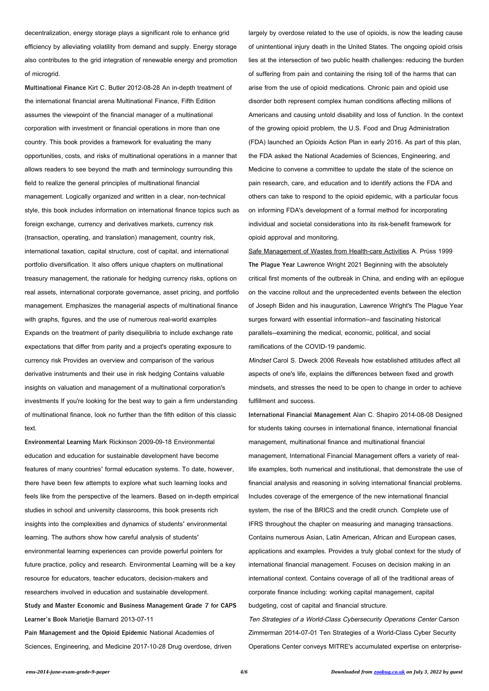decentralization, energy storage plays a significant role to enhance grid efficiency by alleviating volatility from demand and supply. Energy storage also contributes to the grid integration of renewable energy and promotion of microgrid.

**Multinational Finance** Kirt C. Butler 2012-08-28 An in-depth treatment of the international financial arena Multinational Finance, Fifth Edition assumes the viewpoint of the financial manager of a multinational corporation with investment or financial operations in more than one country. This book provides a framework for evaluating the many opportunities, costs, and risks of multinational operations in a manner that allows readers to see beyond the math and terminology surrounding this field to realize the general principles of multinational financial management. Logically organized and written in a clear, non-technical style, this book includes information on international finance topics such as foreign exchange, currency and derivatives markets, currency risk (transaction, operating, and translation) management, country risk, international taxation, capital structure, cost of capital, and international portfolio diversification. It also offers unique chapters on multinational treasury management, the rationale for hedging currency risks, options on real assets, international corporate governance, asset pricing, and portfolio management. Emphasizes the managerial aspects of multinational finance with graphs, figures, and the use of numerous real-world examples Expands on the treatment of parity disequilibria to include exchange rate expectations that differ from parity and a project's operating exposure to currency risk Provides an overview and comparison of the various derivative instruments and their use in risk hedging Contains valuable insights on valuation and management of a multinational corporation's investments If you're looking for the best way to gain a firm understanding of multinational finance, look no further than the fifth edition of this classic text.

**Environmental Learning** Mark Rickinson 2009-09-18 Environmental education and education for sustainable development have become features of many countries' formal education systems. To date, however, there have been few attempts to explore what such learning looks and feels like from the perspective of the learners. Based on in-depth empirical studies in school and university classrooms, this book presents rich insights into the complexities and dynamics of students' environmental learning. The authors show how careful analysis of students' environmental learning experiences can provide powerful pointers for future practice, policy and research. Environmental Learning will be a key resource for educators, teacher educators, decision-makers and researchers involved in education and sustainable development. **Study and Master Economic and Business Management Grade 7 for CAPS Learner's Book** Marietjie Barnard 2013-07-11 **Pain Management and the Opioid Epidemic** National Academies of Sciences, Engineering, and Medicine 2017-10-28 Drug overdose, driven

largely by overdose related to the use of opioids, is now the leading cause of unintentional injury death in the United States. The ongoing opioid crisis lies at the intersection of two public health challenges: reducing the burden of suffering from pain and containing the rising toll of the harms that can arise from the use of opioid medications. Chronic pain and opioid use disorder both represent complex human conditions affecting millions of Americans and causing untold disability and loss of function. In the context of the growing opioid problem, the U.S. Food and Drug Administration (FDA) launched an Opioids Action Plan in early 2016. As part of this plan, the FDA asked the National Academies of Sciences, Engineering, and Medicine to convene a committee to update the state of the science on pain research, care, and education and to identify actions the FDA and others can take to respond to the opioid epidemic, with a particular focus on informing FDA's development of a formal method for incorporating individual and societal considerations into its risk-benefit framework for opioid approval and monitoring.

Safe Management of Wastes from Health-care Activities A. Prüss 1999 **The Plague Year** Lawrence Wright 2021 Beginning with the absolutely critical first moments of the outbreak in China, and ending with an epilogue on the vaccine rollout and the unprecedented events between the election of Joseph Biden and his inauguration, Lawrence Wright's The Plague Year surges forward with essential information--and fascinating historical parallels--examining the medical, economic, political, and social ramifications of the COVID-19 pandemic.

Mindset Carol S. Dweck 2006 Reveals how established attitudes affect all aspects of one's life, explains the differences between fixed and growth mindsets, and stresses the need to be open to change in order to achieve fulfillment and success.

**International Financial Management** Alan C. Shapiro 2014-08-08 Designed for students taking courses in international finance, international financial management, multinational finance and multinational financial management, International Financial Management offers a variety of reallife examples, both numerical and institutional, that demonstrate the use of financial analysis and reasoning in solving international financial problems. Includes coverage of the emergence of the new international financial system, the rise of the BRICS and the credit crunch. Complete use of IFRS throughout the chapter on measuring and managing transactions. Contains numerous Asian, Latin American, African and European cases, applications and examples. Provides a truly global context for the study of international financial management. Focuses on decision making in an international context. Contains coverage of all of the traditional areas of corporate finance including: working capital management, capital budgeting, cost of capital and financial structure. Ten Strategies of a World-Class Cybersecurity Operations Center Carson Zimmerman 2014-07-01 Ten Strategies of a World-Class Cyber Security Operations Center conveys MITRE's accumulated expertise on enterprise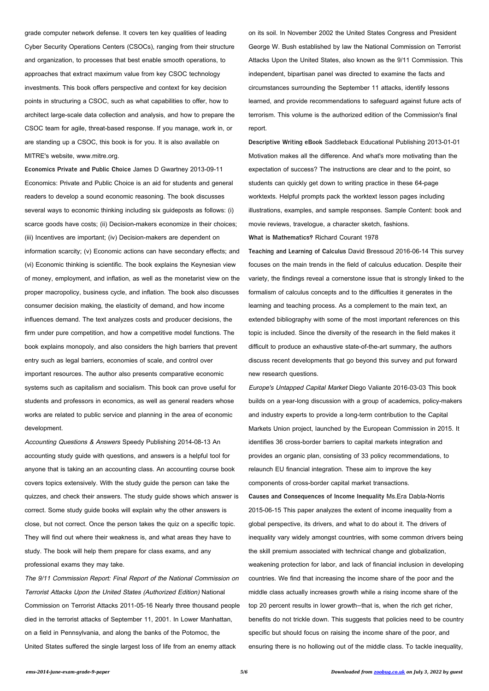grade computer network defense. It covers ten key qualities of leading Cyber Security Operations Centers (CSOCs), ranging from their structure and organization, to processes that best enable smooth operations, to approaches that extract maximum value from key CSOC technology investments. This book offers perspective and context for key decision points in structuring a CSOC, such as what capabilities to offer, how to architect large-scale data collection and analysis, and how to prepare the CSOC team for agile, threat-based response. If you manage, work in, or are standing up a CSOC, this book is for you. It is also available on MITRE's website, www.mitre.org.

**Economics Private and Public Choice** James D Gwartney 2013-09-11 Economics: Private and Public Choice is an aid for students and general readers to develop a sound economic reasoning. The book discusses several ways to economic thinking including six guideposts as follows: (i) scarce goods have costs; (ii) Decision-makers economize in their choices; (iii) Incentives are important; (iv) Decision-makers are dependent on information scarcity; (v) Economic actions can have secondary effects; and (vi) Economic thinking is scientific. The book explains the Keynesian view of money, employment, and inflation, as well as the monetarist view on the proper macropolicy, business cycle, and inflation. The book also discusses consumer decision making, the elasticity of demand, and how income influences demand. The text analyzes costs and producer decisions, the firm under pure competition, and how a competitive model functions. The book explains monopoly, and also considers the high barriers that prevent entry such as legal barriers, economies of scale, and control over important resources. The author also presents comparative economic systems such as capitalism and socialism. This book can prove useful for students and professors in economics, as well as general readers whose works are related to public service and planning in the area of economic development.

Accounting Questions & Answers Speedy Publishing 2014-08-13 An accounting study guide with questions, and answers is a helpful tool for anyone that is taking an an accounting class. An accounting course book covers topics extensively. With the study guide the person can take the quizzes, and check their answers. The study guide shows which answer is correct. Some study guide books will explain why the other answers is close, but not correct. Once the person takes the quiz on a specific topic.

They will find out where their weakness is, and what areas they have to

study. The book will help them prepare for class exams, and any

professional exams they may take.

The 9/11 Commission Report: Final Report of the National Commission on Terrorist Attacks Upon the United States (Authorized Edition) National Commission on Terrorist Attacks 2011-05-16 Nearly three thousand people died in the terrorist attacks of September 11, 2001. In Lower Manhattan, on a field in Pennsylvania, and along the banks of the Potomoc, the United States suffered the single largest loss of life from an enemy attack

on its soil. In November 2002 the United States Congress and President George W. Bush established by law the National Commission on Terrorist Attacks Upon the United States, also known as the 9/11 Commission. This independent, bipartisan panel was directed to examine the facts and circumstances surrounding the September 11 attacks, identify lessons learned, and provide recommendations to safeguard against future acts of terrorism. This volume is the authorized edition of the Commission's final report.

**Descriptive Writing eBook** Saddleback Educational Publishing 2013-01-01 Motivation makes all the difference. And what's more motivating than the expectation of success? The instructions are clear and to the point, so students can quickly get down to writing practice in these 64-page worktexts. Helpful prompts pack the worktext lesson pages including illustrations, examples, and sample responses. Sample Content: book and movie reviews, travelogue, a character sketch, fashions.

**What is Mathematics?** Richard Courant 1978

**Teaching and Learning of Calculus** David Bressoud 2016-06-14 This survey focuses on the main trends in the field of calculus education. Despite their variety, the findings reveal a cornerstone issue that is strongly linked to the formalism of calculus concepts and to the difficulties it generates in the learning and teaching process. As a complement to the main text, an extended bibliography with some of the most important references on this topic is included. Since the diversity of the research in the field makes it difficult to produce an exhaustive state-of-the-art summary, the authors discuss recent developments that go beyond this survey and put forward new research questions.

Europe's Untapped Capital Market Diego Valiante 2016-03-03 This book builds on a year-long discussion with a group of academics, policy-makers and industry experts to provide a long-term contribution to the Capital Markets Union project, launched by the European Commission in 2015. It identifies 36 cross-border barriers to capital markets integration and provides an organic plan, consisting of 33 policy recommendations, to relaunch EU financial integration. These aim to improve the key components of cross-border capital market transactions.

**Causes and Consequences of Income Inequality** Ms.Era Dabla-Norris 2015-06-15 This paper analyzes the extent of income inequality from a

global perspective, its drivers, and what to do about it. The drivers of

inequality vary widely amongst countries, with some common drivers being the skill premium associated with technical change and globalization, weakening protection for labor, and lack of financial inclusion in developing countries. We find that increasing the income share of the poor and the

middle class actually increases growth while a rising income share of the top 20 percent results in lower growth—that is, when the rich get richer,

benefits do not trickle down. This suggests that policies need to be country

specific but should focus on raising the income share of the poor, and

ensuring there is no hollowing out of the middle class. To tackle inequality,